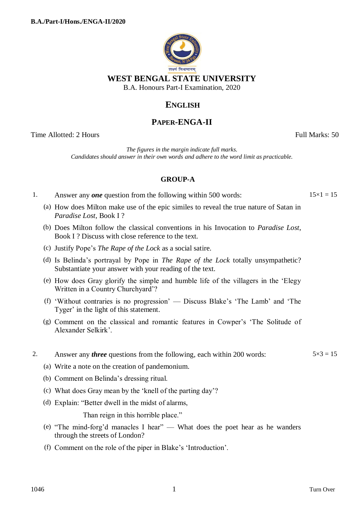

**WEST BENGAL STATE UNIVERSITY**

B.A. Honours Part-I Examination, 2020

# **ENGLISH**

## **PAPER-ENGA-II**

Time Allotted: 2 Hours Full Marks: 50

*The figures in the margin indicate full marks. Candidates should answer in their own words and adhere to the word limit as practicable.*

### **GROUP-A**

1. Answer any *one* question from the following within 500 words:  $15 \times 1 = 15$ 

- (a) How does Milton make use of the epic similes to reveal the true nature of Satan in *Paradise Lost*, Book I ?
- (b) Does Milton follow the classical conventions in his Invocation to *Paradise Lost*, Book I ? Discuss with close reference to the text.
- (c) Justify Pope"s *The Rape of the Lock* as a social satire.
- (d) Is Belinda"s portrayal by Pope in *The Rape of the Lock* totally unsympathetic? Substantiate your answer with your reading of the text.
- (e) How does Gray glorify the simple and humble life of the villagers in the "Elegy Written in a Country Churchyard'?
- (f) "Without contraries is no progression" Discuss Blake"s "The Lamb" and "The Tyger' in the light of this statement.
- (g) Comment on the classical and romantic features in Cowper"s "The Solitude of Alexander Selkirk".
- 2. Answer any *three* questions from the following, each within 200 words:  $5 \times 3 = 15$
- 

- (a) Write a note on the creation of pandemonium.
- (b) Comment on Belinda"s dressing ritual.
- (c) What does Gray mean by the "knell of the parting day"?
- (d) Explain: "Better dwell in the midst of alarms,

Than reign in this horrible place."

- (e) "The mind-forg"d manacles I hear" What does the poet hear as he wanders through the streets of London?
- (f) Comment on the role of the piper in Blake"s "Introduction".